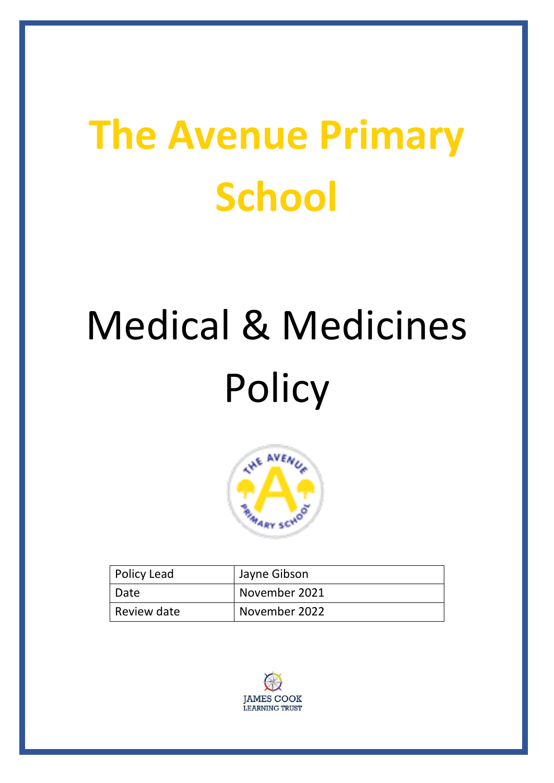# **The Avenue Primary School**

# Medical & Medicines **Policy**



| <b>Policy Lead</b> | Jayne Gibson  |
|--------------------|---------------|
| I Date             | November 2021 |
| Review date        | November 2022 |

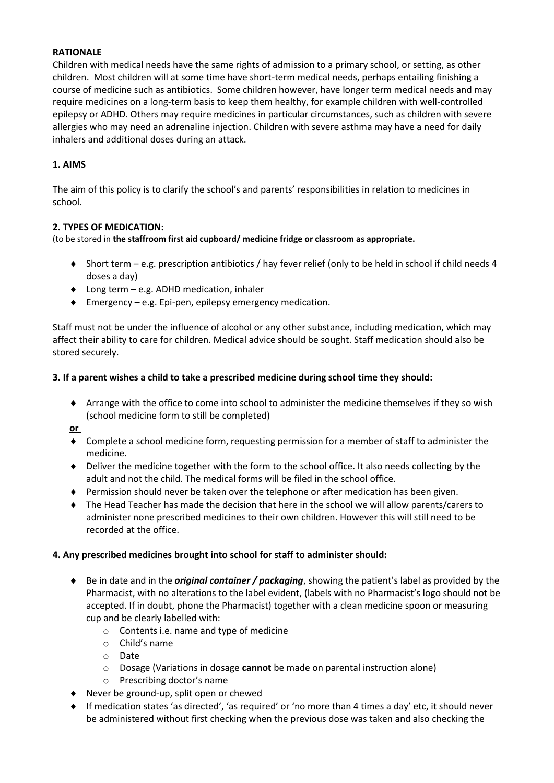#### **RATIONALE**

Children with medical needs have the same rights of admission to a primary school, or setting, as other children. Most children will at some time have short-term medical needs, perhaps entailing finishing a course of medicine such as antibiotics. Some children however, have longer term medical needs and may require medicines on a long-term basis to keep them healthy, for example children with well-controlled epilepsy or ADHD. Others may require medicines in particular circumstances, such as children with severe allergies who may need an adrenaline injection. Children with severe asthma may have a need for daily inhalers and additional doses during an attack.

#### **1. AIMS**

The aim of this policy is to clarify the school's and parents' responsibilities in relation to medicines in school.

#### **2. TYPES OF MEDICATION:**

(to be stored in **the staffroom first aid cupboard/ medicine fridge or classroom as appropriate.** 

- Short term e.g. prescription antibiotics / hay fever relief (only to be held in school if child needs 4 doses a day)
- ◆ Long term e.g. ADHD medication, inhaler
- Emergency e.g. Epi-pen, epilepsy emergency medication.

Staff must not be under the influence of alcohol or any other substance, including medication, which may affect their ability to care for children. Medical advice should be sought. Staff medication should also be stored securely.

#### **3. If a parent wishes a child to take a prescribed medicine during school time they should:**

 Arrange with the office to come into school to administer the medicine themselves if they so wish (school medicine form to still be completed)

**or** 

- Complete a school medicine form, requesting permission for a member of staff to administer the medicine.
- Deliver the medicine together with the form to the school office. It also needs collecting by the adult and not the child. The medical forms will be filed in the school office.
- Permission should never be taken over the telephone or after medication has been given.
- The Head Teacher has made the decision that here in the school we will allow parents/carers to administer none prescribed medicines to their own children. However this will still need to be recorded at the office.

#### **4. Any prescribed medicines brought into school for staff to administer should:**

- Be in date and in the *original container / packaging*, showing the patient's label as provided by the Pharmacist, with no alterations to the label evident, (labels with no Pharmacist's logo should not be accepted. If in doubt, phone the Pharmacist) together with a clean medicine spoon or measuring cup and be clearly labelled with:
	- o Contents i.e. name and type of medicine
	- o Child's name
	- o Date
	- o Dosage (Variations in dosage **cannot** be made on parental instruction alone)
	- o Prescribing doctor's name
- Never be ground-up, split open or chewed
- If medication states 'as directed', 'as required' or 'no more than 4 times a day' etc, it should never be administered without first checking when the previous dose was taken and also checking the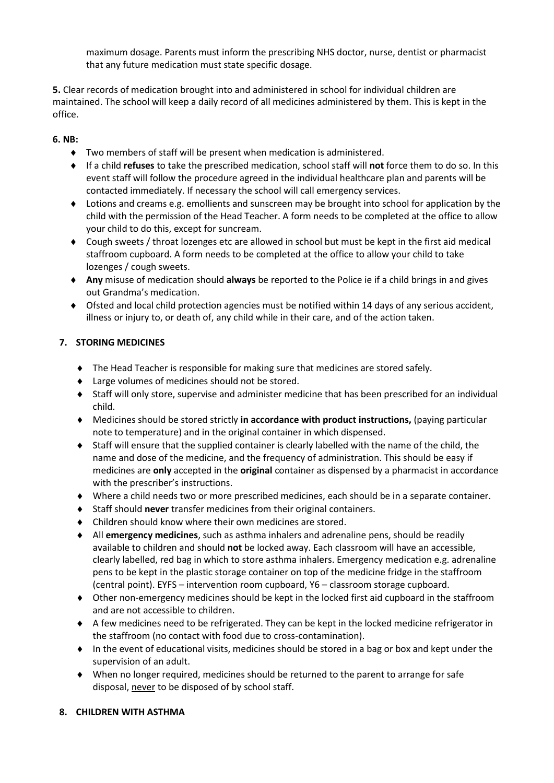maximum dosage. Parents must inform the prescribing NHS doctor, nurse, dentist or pharmacist that any future medication must state specific dosage.

**5.** Clear records of medication brought into and administered in school for individual children are maintained. The school will keep a daily record of all medicines administered by them. This is kept in the office.

#### **6. NB:**

- Two members of staff will be present when medication is administered.
- If a child **refuses** to take the prescribed medication, school staff will **not** force them to do so. In this event staff will follow the procedure agreed in the individual healthcare plan and parents will be contacted immediately. If necessary the school will call emergency services.
- Lotions and creams e.g. emollients and sunscreen may be brought into school for application by the child with the permission of the Head Teacher. A form needs to be completed at the office to allow your child to do this, except for suncream.
- Cough sweets / throat lozenges etc are allowed in school but must be kept in the first aid medical staffroom cupboard. A form needs to be completed at the office to allow your child to take lozenges / cough sweets.
- **Any** misuse of medication should **always** be reported to the Police ie if a child brings in and gives out Grandma's medication.
- Ofsted and local child protection agencies must be notified within 14 days of any serious accident, illness or injury to, or death of, any child while in their care, and of the action taken.

#### **7. STORING MEDICINES**

- The Head Teacher is responsible for making sure that medicines are stored safely.
- ◆ Large volumes of medicines should not be stored.
- Staff will only store, supervise and administer medicine that has been prescribed for an individual child.
- Medicines should be stored strictly **in accordance with product instructions,** (paying particular note to temperature) and in the original container in which dispensed.
- Staff will ensure that the supplied container is clearly labelled with the name of the child, the name and dose of the medicine, and the frequency of administration. This should be easy if medicines are **only** accepted in the **original** container as dispensed by a pharmacist in accordance with the prescriber's instructions.
- Where a child needs two or more prescribed medicines, each should be in a separate container.
- Staff should **never** transfer medicines from their original containers.
- Children should know where their own medicines are stored.
- All **emergency medicines**, such as asthma inhalers and adrenaline pens, should be readily available to children and should **not** be locked away. Each classroom will have an accessible, clearly labelled, red bag in which to store asthma inhalers. Emergency medication e.g. adrenaline pens to be kept in the plastic storage container on top of the medicine fridge in the staffroom (central point). EYFS – intervention room cupboard, Y6 – classroom storage cupboard.
- Other non-emergency medicines should be kept in the locked first aid cupboard in the staffroom and are not accessible to children.
- A few medicines need to be refrigerated. They can be kept in the locked medicine refrigerator in the staffroom (no contact with food due to cross-contamination).
- In the event of educational visits, medicines should be stored in a bag or box and kept under the supervision of an adult.
- When no longer required, medicines should be returned to the parent to arrange for safe disposal, never to be disposed of by school staff.

#### **8. CHILDREN WITH ASTHMA**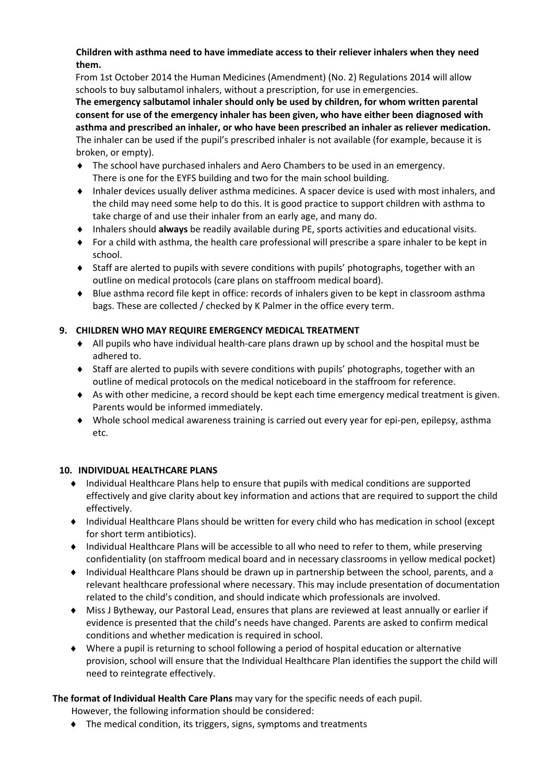#### **Children with asthma need to have immediate access to their reliever inhalers when they need them.**

From 1st October 2014 the Human Medicines (Amendment) (No. 2) Regulations 2014 will allow schools to buy salbutamol inhalers, without a prescription, for use in emergencies.

**The emergency salbutamol inhaler should only be used by children, for whom written parental consent for use of the emergency inhaler has been given, who have either been diagnosed with asthma and prescribed an inhaler, or who have been prescribed an inhaler as reliever medication.**  The inhaler can be used if the pupil's prescribed inhaler is not available (for example, because it is broken, or empty).

- The school have purchased inhalers and Aero Chambers to be used in an emergency. There is one for the EYFS building and two for the main school building.
- Inhaler devices usually deliver asthma medicines. A spacer device is used with most inhalers, and the child may need some help to do this. It is good practice to support children with asthma to take charge of and use their inhaler from an early age, and many do.
- Inhalers should **always** be readily available during PE, sports activities and educational visits.
- For a child with asthma, the health care professional will prescribe a spare inhaler to be kept in school.
- Staff are alerted to pupils with severe conditions with pupils' photographs, together with an outline on medical protocols (care plans on staffroom medical board).
- Blue asthma record file kept in office: records of inhalers given to be kept in classroom asthma bags. These are collected / checked by K Palmer in the office every term.

# **9. CHILDREN WHO MAY REQUIRE EMERGENCY MEDICAL TREATMENT**

- All pupils who have individual health-care plans drawn up by school and the hospital must be adhered to.
- Staff are alerted to pupils with severe conditions with pupils' photographs, together with an outline of medical protocols on the medical noticeboard in the staffroom for reference.
- As with other medicine, a record should be kept each time emergency medical treatment is given. Parents would be informed immediately.
- Whole school medical awareness training is carried out every year for epi-pen, epilepsy, asthma etc.

## **10. INDIVIDUAL HEALTHCARE PLANS**

- Individual Healthcare Plans help to ensure that pupils with medical conditions are supported effectively and give clarity about key information and actions that are required to support the child effectively.
- Individual Healthcare Plans should be written for every child who has medication in school (except for short term antibiotics).
- Individual Healthcare Plans will be accessible to all who need to refer to them, while preserving confidentiality (on staffroom medical board and in necessary classrooms in yellow medical pocket)
- Individual Healthcare Plans should be drawn up in partnership between the school, parents, and a relevant healthcare professional where necessary. This may include presentation of documentation related to the child's condition, and should indicate which professionals are involved.
- Miss J Bytheway, our Pastoral Lead, ensures that plans are reviewed at least annually or earlier if evidence is presented that the child's needs have changed. Parents are asked to confirm medical conditions and whether medication is required in school.
- Where a pupil is returning to school following a period of hospital education or alternative provision, school will ensure that the Individual Healthcare Plan identifies the support the child will need to reintegrate effectively.

## **The format of Individual Health Care Plans** may vary for the specific needs of each pupil.

However, the following information should be considered:

◆ The medical condition, its triggers, signs, symptoms and treatments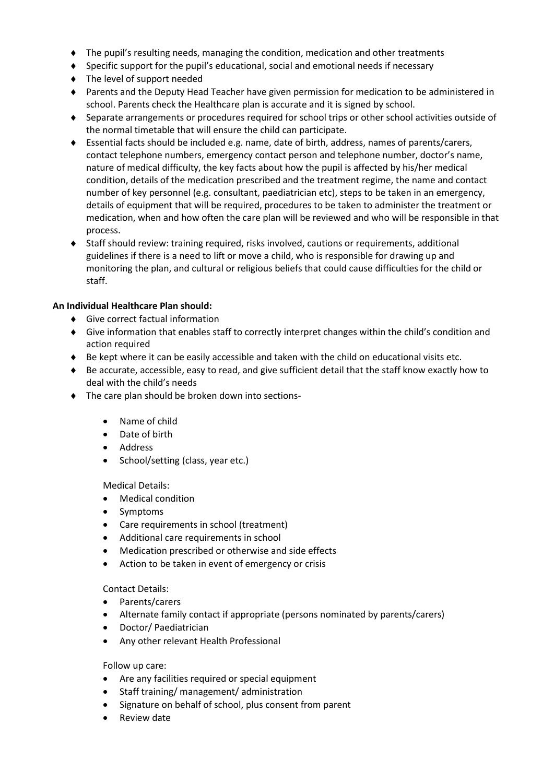- The pupil's resulting needs, managing the condition, medication and other treatments
- $\bullet$  Specific support for the pupil's educational, social and emotional needs if necessary
- ◆ The level of support needed
- Parents and the Deputy Head Teacher have given permission for medication to be administered in school. Parents check the Healthcare plan is accurate and it is signed by school.
- Separate arrangements or procedures required for school trips or other school activities outside of the normal timetable that will ensure the child can participate.
- Essential facts should be included e.g. name, date of birth, address, names of parents/carers, contact telephone numbers, emergency contact person and telephone number, doctor's name, nature of medical difficulty, the key facts about how the pupil is affected by his/her medical condition, details of the medication prescribed and the treatment regime, the name and contact number of key personnel (e.g. consultant, paediatrician etc), steps to be taken in an emergency, details of equipment that will be required, procedures to be taken to administer the treatment or medication, when and how often the care plan will be reviewed and who will be responsible in that process.
- Staff should review: training required, risks involved, cautions or requirements, additional guidelines if there is a need to lift or move a child, who is responsible for drawing up and monitoring the plan, and cultural or religious beliefs that could cause difficulties for the child or staff.

#### **An Individual Healthcare Plan should:**

- Give correct factual information
- Give information that enables staff to correctly interpret changes within the child's condition and action required
- $\bullet$  Be kept where it can be easily accessible and taken with the child on educational visits etc.
- Be accurate, accessible, easy to read, and give sufficient detail that the staff know exactly how to deal with the child's needs
- $\bullet$  The care plan should be broken down into sections-
	- Name of child
	- Date of birth
	- Address
	- School/setting (class, year etc.)

Medical Details:

- Medical condition
- **Symptoms**
- Care requirements in school (treatment)
- Additional care requirements in school
- Medication prescribed or otherwise and side effects
- Action to be taken in event of emergency or crisis

Contact Details:

- Parents/carers
- Alternate family contact if appropriate (persons nominated by parents/carers)
- Doctor/ Paediatrician
- Any other relevant Health Professional

Follow up care:

- Are any facilities required or special equipment
- Staff training/ management/ administration
- Signature on behalf of school, plus consent from parent
- **Review date**